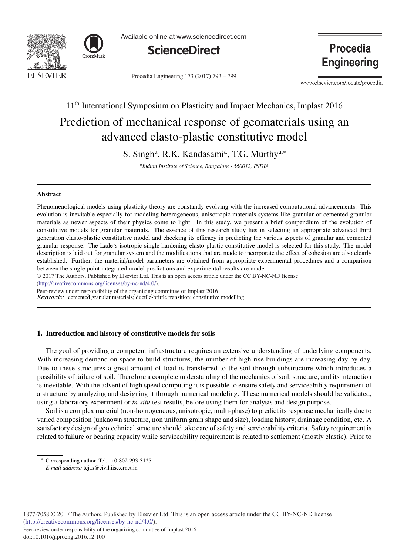



Available online at www.sciencedirect.com



Procedia Engineering 173 (2017) 793 - 799

**Procedia Engineering** 

www.elsevier.com/locate/procedia

# 11<sup>th</sup> International Symposium on Plasticity and Impact Mechanics, Implast 2016 Prediction of mechanical response of geomaterials using an advanced elasto-plastic constitutive model

S. Singh<sup>a</sup>, R.K. Kandasami<sup>a</sup>, T.G. Murthy<sup>a,\*</sup>

*a Indian Institute of Science, Bangalore - 560012, INDIA*

## Abstract

Phenomenological models using plasticity theory are constantly evolving with the increased computational advancements. This evolution is inevitable especially for modeling heterogeneous, anisotropic materials systems like granular or cemented granular materials as newer aspects of their physics come to light. In this study, we present a brief compendium of the evolution of constitutive models for granular materials. The essence of this research study lies in selecting an appropriate advanced third generation elasto-plastic constitutive model and checking its efficacy in predicting the various aspects of granular and cemented granular response. The Lade's isotropic single hardening elasto-plastic constitutive model is selected for this study. The model description is laid out for granular system and the modifications that are made to incorporate the effect of cohesion are also clearly established. Further, the material/model parameters are obtained from appropriate experimental procedures and a comparison between the single point integrated model predictions and experimental results are made.

© 2017 The Authors. Published by Elsevier Ltd. This is an open access article under the CC BY-NC-ND license (http://creativecommons.org/licenses/by-nc-nd/4.0/).

Peer-review under responsibility of the organizing committee of Implast 2016

*Keywords:* cemented granular materials; ductile-brittle transition; constitutive modelling

# 1. Introduction and history of constitutive models for soils

The goal of providing a competent infrastructure requires an extensive understanding of underlying components. With increasing demand on space to build structures, the number of high rise buildings are increasing day by day. Due to these structures a great amount of load is transferred to the soil through substructure which introduces a possibility of failure of soil. Therefore a complete understanding of the mechanics of soil, structure, and its interaction is inevitable. With the advent of high speed computing it is possible to ensure safety and serviceability requirement of a structure by analyzing and designing it through numerical modeling. These numerical models should be validated, using a laboratory experiment or *in-situ* test results, before using them for analysis and design purpose.

Soil is a complex material (non-homogeneous, anisotropic, multi-phase) to predict its response mechanically due to varied composition (unknown structure, non uniform grain shape and size), loading history, drainage condition, etc. A satisfactory design of geotechnical structure should take care of safety and serviceability criteria. Safety requirement is related to failure or bearing capacity while serviceability requirement is related to settlement (mostly elastic). Prior to

Peer-review under responsibility of the organizing committee of Implast 2016 doi: 10.1016/j.proeng.2016.12.100

<sup>∗</sup> Corresponding author. Tel.: +0-802-293-3125.

*E-mail address:* tejas@civil.iisc.ernet.in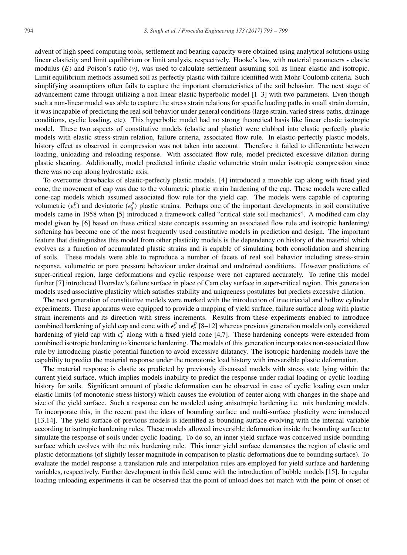advent of high speed computing tools, settlement and bearing capacity were obtained using analytical solutions using linear elasticity and limit equilibrium or limit analysis, respectively. Hooke's law, with material parameters - elastic modulus  $(E)$  and Poison's ratio  $(v)$ , was used to calculate settlement assuming soil as linear elastic and isotropic. Limit equilibrium methods assumed soil as perfectly plastic with failure identified with Mohr-Coulomb criteria. Such simplifying assumptions often fails to capture the important characteristics of the soil behavior. The next stage of advancement came through utilizing a non-linear elastic hyperbolic model [1–3] with two parameters. Even though such a non-linear model was able to capture the stress strain relations for specific loading paths in small strain domain, it was incapable of predicting the real soil behavior under general conditions (large strain, varied stress paths, drainage conditions, cyclic loading, etc). This hyperbolic model had no strong theoretical basis like linear elastic isotropic model. These two aspects of constitutive models (elastic and plastic) were clubbed into elastic perfectly plastic models with elastic stress-strain relation, failure criteria, associated flow rule. In elastic-perfectly plastic models, history effect as observed in compression was not taken into account. Therefore it failed to differentiate between loading, unloading and reloading response. With associated flow rule, model predicted excessive dilation during plastic shearing. Additionally, model predicted infinite elastic volumetric strain under isotropic compression since there was no cap along hydrostatic axis.

To overcome drawbacks of elastic-perfectly plastic models, [4] introduced a movable cap along with fixed yied cone, the movement of cap was due to the volumetric plastic strain hardening of the cap. These models were called cone-cap models which assumed associated flow rule for the yield cap. The models were capable of capturing volumetric  $(\epsilon_v^p)$  and deviatoric  $(\epsilon_q^p)$  plastic strains. Perhaps one of the important developments in soil constitutive models came in 1958 when [5] introduced a framework called "critical state soil mechanics". A modified cam clay model given by [6] based on these critical state concepts assuming an associated flow rule and isotropic hardening/ softening has become one of the most frequently used constitutive models in prediction and design. The important feature that distinguishes this model from other plasticity models is the dependency on history of the material which evolves as a function of accumulated plastic strains and is capable of simulating both consolidation and shearing of soils. These models were able to reproduce a number of facets of real soil behavior including stress-strain response, volumetric or pore pressure behaviour under drained and undrained conditions. However predictions of super-critical region, large deformations and cyclic response were not captured accurately. To refine this model further [7] introduced Hvorslev's failure surface in place of Cam clay surface in super-critical region. This generation models used associative plasticity which satisfies stability and uniqueness postulates but predicts excessive dilation.

The next generation of constitutive models were marked with the introduction of true triaxial and hollow cylinder experiments. These apparatus were equipped to provide a mapping of yield surface, failure surface along with plastic strain increments and its direction with stress increments. Results from these experiments enabled to introduce combined hardening of yield cap and cone with  $\epsilon_v^p$  and  $\epsilon_q^p$  [8–12] whereas previous generation models only considered hardening of yield cap with  $\epsilon_v^p$  along with a fixed yield cone [4,7]. These hardening concepts were extended from combined isotropic hardening to kinematic hardening. The models of this generation incorporates non-associated flow rule by introducing plastic potential function to avoid excessive dilatancy. The isotropic hardening models have the capability to predict the material response under the monotonic load history with irreversible plastic deformation.

The material response is elastic as predicted by previously discussed models with stress state lying within the current yield surface, which implies models inability to predict the response under radial loading or cyclic loading history for soils. Significant amount of plastic deformation can be observed in case of cyclic loading even under elastic limits (of monotonic stress history) which causes the evolution of center along with changes in the shape and size of the yield surface. Such a response can be modeled using anisotropic hardening i.e. mix hardening models. To incorporate this, in the recent past the ideas of bounding surface and multi-surface plasticity were introduced [13,14]. The yield surface of previous models is identified as bounding surface evolving with the internal variable according to isotropic hardening rules. These models allowed irreversible deformation inside the bounding surface to simulate the response of soils under cyclic loading. To do so, an inner yield surface was conceived inside bounding surface which evolves with the mix hardening rule. This inner yield surface demarcates the region of elastic and plastic deformations (of slightly lesser magnitude in comparison to plastic deformations due to bounding surface). To evaluate the model response a translation rule and interpolation rules are employed for yield surface and hardening variables, respectively. Further development in this field came with the introduction of bubble models [15]. In regular loading unloading experiments it can be observed that the point of unload does not match with the point of onset of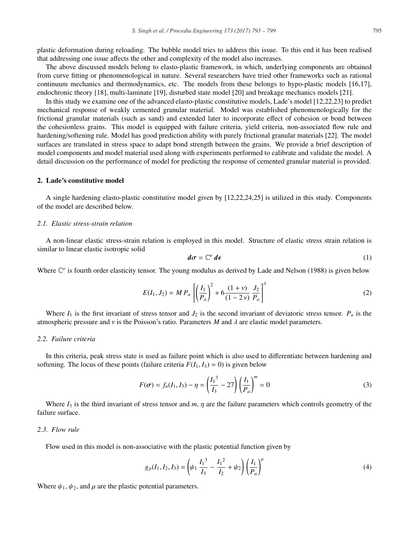plastic deformation during reloading. The bubble model tries to address this issue. To this end it has been realised that addressing one issue affects the other and complexity of the model also increases.

The above discussed models belong to elasto-plastic framework, in which, underlying components are obtained from curve fitting or phenomenological in nature. Several researchers have tried other frameworks such as rational continuum mechanics and thermodynamics, etc. The models from these belongs to hypo-plastic models [16,17], endochronic theory [18], multi-laminate [19], disturbed state model [20] and breakage mechanics models [21].

In this study we examine one of the advanced elasto-plastic constitutive models, Lade's model [12,22,23] to predict mechanical response of weakly cemented granular material. Model was established phenomenologically for the frictional granular materials (such as sand) and extended later to incorporate effect of cohesion or bond between the cohesionless grains. This model is equipped with failure criteria, yield criteria, non-associated flow rule and hardening/softening rule. Model has good prediction ability with purely frictional granular materials [22]. The model surfaces are translated in stress space to adapt bond strength between the grains. We provide a brief description of model components and model material used along with experiments performed to calibrate and validate the model. A detail discussion on the performance of model for predicting the response of cemented granular material is provided.

### 2. Lade's constitutive model

A single hardening elasto-plastic constitutive model given by [12,22,24,25] is utilized in this study. Components of the model are described below.

#### *2.1. Elastic stress-strain relation*

A non-linear elastic stress-strain relation is employed in this model. Structure of elastic stress strain relation is similar to linear elastic isotropic solid

$$
d\sigma = \mathbb{C}^e d\epsilon \tag{1}
$$

Where  $\mathbb{C}^e$  is fourth order elasticity tensor. The young modulus as derived by Lade and Nelson (1988) is given below

$$
E(I_1, J_2) = M P_a \left[ \left( \frac{I_1}{P_a} \right)^2 + 6 \frac{(1+\nu)}{(1-2\nu)} \frac{J_2}{P_a} \right]^4 \tag{2}
$$

Where  $I_1$  is the first invariant of stress tensor and  $J_2$  is the second invariant of deviatoric stress tensor.  $P_a$  is the atmospheric pressure and  $\nu$  is the Poisson's ratio. Parameters *M* and  $\lambda$  are elastic model parameters.

## *2.2. Failure criteria*

In this criteria, peak stress state is used as failure point which is also used to differentiate between hardening and softening. The locus of these points (failure criteria  $F(I_1, I_3) = 0$ ) is given below

$$
F(\sigma) = f_n(I_1, I_3) - \eta = \left(\frac{I_1^3}{I_3} - 27\right) \left(\frac{I_1}{P_a}\right)^m = 0
$$
\n(3)

Where  $I_3$  is the third invariant of stress tensor and  $m$ ,  $\eta$  are the failure parameters which controls geometry of the failure surface.

## *2.3. Flow rule*

Flow used in this model is non-associative with the plastic potential function given by

$$
g_p(I_1, I_2, I_3) = \left(\psi_1 \frac{I_1^3}{I_3} - \frac{I_1^2}{I_2} + \psi_2\right) \left(\frac{I_1}{P_a}\right)^{\mu} \tag{4}
$$

Where  $\psi_1$ ,  $\psi_2$ , and  $\mu$  are the plastic potential parameters.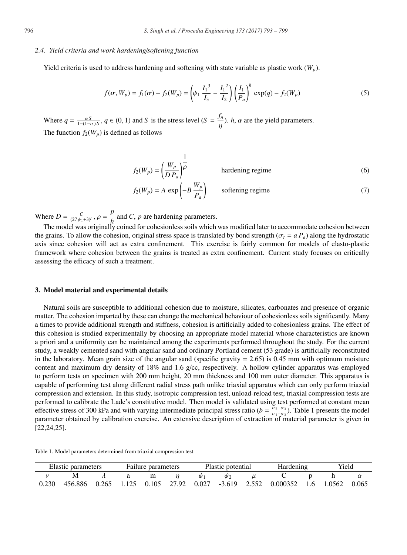#### *2.4. Yield criteria and work hardening*/*softening function*

Yield criteria is used to address hardening and softening with state variable as plastic work (*Wp*).

$$
f(\sigma, W_p) = f_1(\sigma) - f_2(W_p) = \left(\psi_1 \frac{I_1^3}{I_3} - \frac{I_1^2}{I_2}\right) \left(\frac{I_1}{P_a}\right)^h \exp(q) - f_2(W_p)
$$
 (5)

Where  $q = \frac{\alpha S}{1-(1-\alpha)S}$ ,  $q \in (0,1)$  and *S* is the stress level  $(S = \frac{f_n}{n})$  $\frac{\partial n}{\partial \eta}$ ). *h*,  $\alpha$  are the yield parameters. The function  $f_2(W_p)$  is defined as follows

$$
f_2(W_p) = \left(\frac{W_p}{DP_a}\right)^{\frac{1}{\rho}}
$$
 hardening regime (6)

$$
f_2(W_p) = A \exp\left(-B \frac{W_p}{P_a}\right) \qquad \text{softening regime} \tag{7}
$$

Where  $D = \frac{C}{(27\psi_1 + 3)^p}$ ,  $\rho = \frac{p}{h}$  $\frac{p}{h}$  and *C*, *p* are hardening parameters.

The model was originally coined for cohesionless soils which was modified later to accommodate cohesion between the grains. To allow the cohesion, original stress space is translated by bond strength ( $\sigma_t = a P_a$ ) along the hydrostatic axis since cohesion will act as extra confinement. This exercise is fairly common for models of elasto-plastic framework where cohesion between the grains is treated as extra confinement. Current study focuses on critically assessing the efficacy of such a treatment.

#### 3. Model material and experimental details

Natural soils are susceptible to additional cohesion due to moisture, silicates, carbonates and presence of organic matter. The cohesion imparted by these can change the mechanical behaviour of cohesionless soils significantly. Many a times to provide additional strength and stiffness, cohesion is artificially added to cohesionless grains. The effect of this cohesion is studied experimentally by choosing an appropriate model material whose characteristics are known a priori and a uniformity can be maintained among the experiments performed throughout the study. For the current study, a weakly cemented sand with angular sand and ordinary Portland cement (53 grade) is artificially reconstituted in the laboratory. Mean grain size of the angular sand (specific gravity  $= 2.65$ ) is 0.45 mm with optimum moisture content and maximum dry density of 18% and 1.6 g/cc, respectively. A hollow cylinder apparatus was employed to perform tests on specimen with 200 mm height, 20 mm thickness and 100 mm outer diameter. This apparatus is capable of performing test along different radial stress path unlike triaxial apparatus which can only perform triaxial compression and extension. In this study, isotropic compression test, unload-reload test, triaxial compression tests are performed to calibrate the Lade's constitutive model. Then model is validated using test performed at constant mean effective stress of 300 kPa and with varying intermediate principal stress ratio ( $b = \frac{\sigma_2 - \sigma_3}{\sigma_1 - \sigma_3}$ ). Table 1 presents the model parameter obtained by calibration exercise. An extensive description of extraction of material parameter is given in [22,24,25].

Table 1. Model parameters determined from triaxial compression test

| Elastic parameters |         |  | Failure parameters |   |                                 | Plastic potential |               |  | Hardening    |  | Yield  |       |
|--------------------|---------|--|--------------------|---|---------------------------------|-------------------|---------------|--|--------------|--|--------|-------|
|                    |         |  |                    | m |                                 |                   | $\mathcal{U}$ |  |              |  |        |       |
| 0.230              | 456.886 |  |                    |   | $0.265$ $1.125$ $0.105$ $27.92$ | 0.027             | -3.619 2.552  |  | 0.000352 1.6 |  | 1.0562 | 0.065 |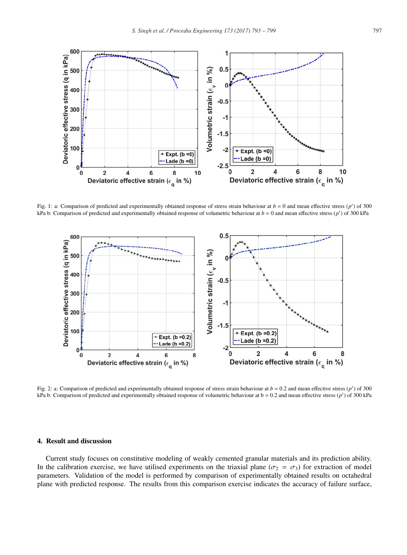

Fig. 1: a: Comparison of predicted and experimentally obtained response of stress strain behaviour at  $b = 0$  and mean effective stress  $(p')$  of 300 kPa b: Comparison of predicted and experimentally obtained response of volumetric behaviour at  $b = 0$  and mean effective stress  $(p')$  of 300 kPa



Fig. 2: a: Comparison of predicted and experimentally obtained response of stress strain behaviour at  $b = 0.2$  and mean effective stress  $(p')$  of 300 kPa b: Comparison of predicted and experimentally obtained response of volumetric behaviour at  $b = 0.2$  and mean effective stress (p') of 300 kPa

## 4. Result and discussion

Current study focuses on constitutive modeling of weakly cemented granular materials and its prediction ability. In the calibration exercise, we have utilised experiments on the triaxial plane ( $\sigma_2 = \sigma_3$ ) for extraction of model parameters. Validation of the model is performed by comparison of experimentally obtained results on octahedral plane with predicted response. The results from this comparison exercise indicates the accuracy of failure surface,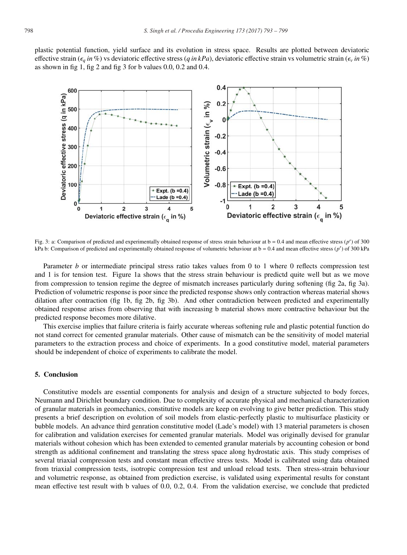plastic potential function, yield surface and its evolution in stress space. Results are plotted between deviatoric effective strain ( $\epsilon_q$  *in* %) vs deviatoric effective stress (*q in kPa*), deviatoric effective strain vs volumetric strain ( $\epsilon_y$  *in* %) as shown in fig 1, fig 2 and fig 3 for b values  $0.0$ ,  $0.2$  and  $0.4$ .



Fig. 3: a: Comparison of predicted and experimentally obtained response of stress strain behaviour at  $b = 0.4$  and mean effective stress (p') of 300 kPa b: Comparison of predicted and experimentally obtained response of volumetric behaviour at  $b = 0.4$  and mean effective stress (p') of 300 kPa

Parameter *b* or intermediate principal stress ratio takes values from 0 to 1 where 0 reflects compression test and 1 is for tension test. Figure 1a shows that the stress strain behaviour is predictd quite well but as we move from compression to tension regime the degree of mismatch increases particularly during softening (fig 2a, fig 3a). Prediction of volumetric response is poor since the predicted response shows only contraction whereas material shows dilation after contraction (fig 1b, fig 2b, fig 3b). And other contradiction between predicted and experimentally obtained response arises from observing that with increasing b material shows more contractive behaviour but the predicted response becomes more dilative.

This exercise implies that failure criteria is fairly accurate whereas softening rule and plastic potential function do not stand correct for cemented granular materials. Other cause of mismatch can be the sensitivity of model material parameters to the extraction process and choice of experiments. In a good constitutive model, material parameters should be independent of choice of experiments to calibrate the model.

## 5. Conclusion

Constitutive models are essential components for analysis and design of a structure subjected to body forces, Neumann and Dirichlet boundary condition. Due to complexity of accurate physical and mechanical characterization of granular materials in geomechanics, constitutive models are keep on evolving to give better prediction. This study presents a brief description on evolution of soil models from elastic-perfectly plastic to multisurface plasticity or bubble models. An advance third genration constitutive model (Lade's model) with 13 material parameters is chosen for calibration and validation exercises for cemented granular materials. Model was originally devised for granular materials without cohesion which has been extended to cemented granular materials by accounting cohesion or bond strength as additional confinement and translating the stress space along hydrostatic axis. This study comprises of several triaxial compression tests and constant mean effective stress tests. Model is calibrated using data obtained from triaxial compression tests, isotropic compression test and unload reload tests. Then stress-strain behaviour and volumetric response, as obtained from prediction exercise, is validated using experimental results for constant mean effective test result with b values of 0.0, 0.2, 0.4. From the validation exercise, we conclude that predicted